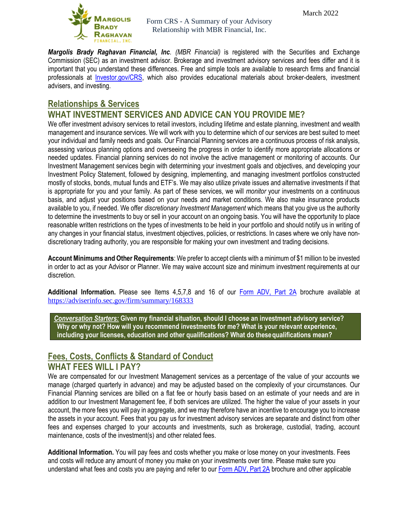

*Margolis Brady Raghavan Financial, Inc. (MBR Financial)* is registered with the Securities and Exchange Commission (SEC) as an investment advisor. Brokerage and investment advisory services and fees differ and it is important that you understand these differences. Free and simple tools are available to research firms and financial professionals at [Investor.gov/CRS,](http://www.investor.gov/CRS) which also provides educational materials about broker-dealers, investment advisers, and investing.

# **Relationships & Services**

## **WHAT INVESTMENT SERVICES AND ADVICE CAN YOU PROVIDE ME?**

We offer investment advisory services to retail investors, including lifetime and estate planning, investment and wealth management and insurance services. We will work with you to determine which of our services are best suited to meet your individual and family needs and goals. Our Financial Planning services are a continuous process of risk analysis, assessing various planning options and overseeing the progress in order to identify more appropriate allocations or needed updates. Financial planning services do not involve the active management or monitoring of accounts. Our Investment Management services begin with determining your investment goals and objectives, and developing your Investment Policy Statement, followed by designing, implementing, and managing investment portfolios constructed mostly of stocks, bonds, mutual funds and ETF's. We may also utilize private issues and alternative investments if that is appropriate for you and your family. As part of these services, we will *monitor* your investments on a continuous basis, and adjust your positions based on your needs and market conditions. We also make insurance products available to you, if needed. We offer *discretionary Investment Management* which means that you give us the authority to determine the investments to buy or sell in your account on an ongoing basis. You will have the opportunity to place reasonable written restrictions on the types of investments to be held in your portfolio and should notify us in writing of any changes in your financial status, investment objectives, policies, or restrictions. In cases where we only have nondiscretionary trading authority, you are responsible for making your own investment and trading decisions.

**Account Minimums and Other Requirements**: We prefer to accept clients with a minimum of \$1 million to be invested in order to act as your Advisor or Planner. We may waive account size and minimum investment requirements at our discretion.

**Additional Information.** Please see Items 4,5,7,8 and 16 of our [Form ADV, Part 2A](https://adviserinfo.sec.gov/firm/summary/168333) brochure available at <https://adviserinfo.sec.gov/firm/summary/168333>

*Conversation Starters:* **Given my financial situation, should I choose an investment advisory service? Why or why not? How will you recommend investments for me? What is your relevant experience, including your licenses, education and other qualifications? What do thesequalifications mean?**

### **Fees, Costs, Conflicts & Standard of Conduct WHAT FEES WILL I PAY?**

We are compensated for our Investment Management services as a percentage of the value of your accounts we manage (charged quarterly in advance) and may be adjusted based on the complexity of your circumstances. Our Financial Planning services are billed on a flat fee or hourly basis based on an estimate of your needs and are in addition to our Investment Management fee, if both services are utilized. The higher the value of your assets in your account, the more fees you will pay in aggregate, and we may therefore have an incentive to encourage you to increase the assets in your account. Fees that you pay us for investment advisory services are separate and distinct from other fees and expenses charged to your accounts and investments, such as brokerage, custodial, trading, account maintenance, costs of the investment(s) and other related fees.

**Additional Information.** You will pay fees and costs whether you make or lose money on your investments. Fees and costs will reduce any amount of money you make on your investments over time. Please make sure you understand what fees and costs you are paying and refer to our [Form ADV, Part 2A](https://adviserinfo.sec.gov/firm/summary/168333) brochure and other applicable